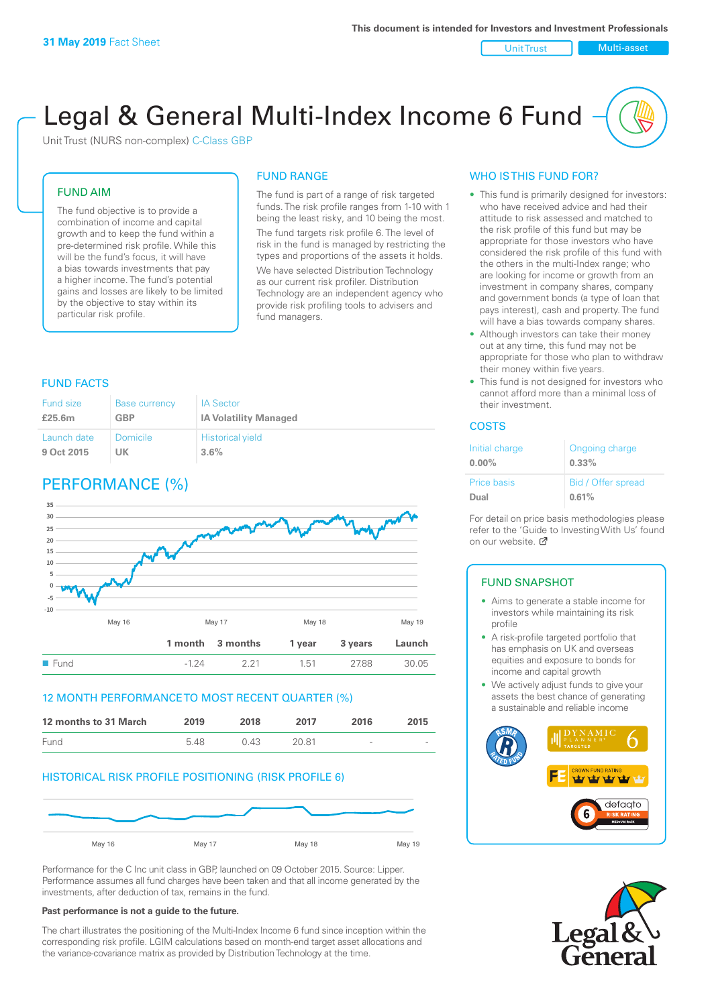Unit Trust Nulti-asset

# Legal & General Multi-Index Income 6 Fund

Unit Trust (NURS non-complex) C-Class GBP

### FUND AIM

The fund objective is to provide a combination of income and capital growth and to keep the fund within a pre-determined risk profile. While this will be the fund's focus, it will have a bias towards investments that pay a higher income. The fund's potential gains and losses are likely to be limited by the objective to stay within its particular risk profile.

#### FUND RANGE

The fund is part of a range of risk targeted funds. The risk profile ranges from 1-10 with 1 being the least risky, and 10 being the most. The fund targets risk profile 6. The level of risk in the fund is managed by restricting the types and proportions of the assets it holds. We have selected Distribution Technology as our current risk profiler. Distribution Technology are an independent agency who provide risk profiling tools to advisers and fund managers.

### FUND FACTS

| Fund size   | <b>Base currency</b> | <b>IA Sector</b>             |
|-------------|----------------------|------------------------------|
| £25.6m      | <b>GBP</b>           | <b>IA Volatility Managed</b> |
| Launch date | Domicile             | <b>Historical yield</b>      |
| 9 Oct 2015  | UK                   | 3.6%                         |

# PERFORMANCE (%)



### 12 MONTH PERFORMANCE TO MOST RECENT QUARTER (%)



### HISTORICAL RISK PROFILE POSITIONING (RISK PROFILE 6)



Performance for the C Inc unit class in GBP, launched on 09 October 2015. Source: Lipper. Performance assumes all fund charges have been taken and that all income generated by the investments, after deduction of tax, remains in the fund.

#### **Past performance is not a guide to the future.**

The chart illustrates the positioning of the Multi-Index Income 6 fund since inception within the corresponding risk profile. LGIM calculations based on month-end target asset allocations and the variance-covariance matrix as provided by Distribution Technology at the time.

### WHO IS THIS FUND FOR?

- This fund is primarily designed for investors: who have received advice and had their attitude to risk assessed and matched to the risk profile of this fund but may be appropriate for those investors who have considered the risk profile of this fund with the others in the multi-Index range; who are looking for income or growth from an investment in company shares, company and government bonds (a type of loan that pays interest), cash and property. The fund will have a bias towards company shares.
- Although investors can take their money out at any time, this fund may not be appropriate for those who plan to withdraw their money within five years.
- This fund is not designed for investors who cannot afford more than a minimal loss of their investment.

### **COSTS**

| Initial charge<br>$0.00\%$ | Ongoing charge<br>0.33% |
|----------------------------|-------------------------|
| <b>Price basis</b>         | Bid / Offer spread      |
| Dual                       | 0.61%                   |

For detail on price basis methodologies please refer to the 'Guide to Investing With Us' found on our website. [7]

### FUND SNAPSHOT

- Aims to generate a stable income for investors while maintaining its risk profile
- A risk-profile targeted portfolio that has emphasis on UK and overseas equities and exposure to bonds for income and capital growth
- We actively adjust funds to give your assets the best chance of generating a sustainable and reliable income



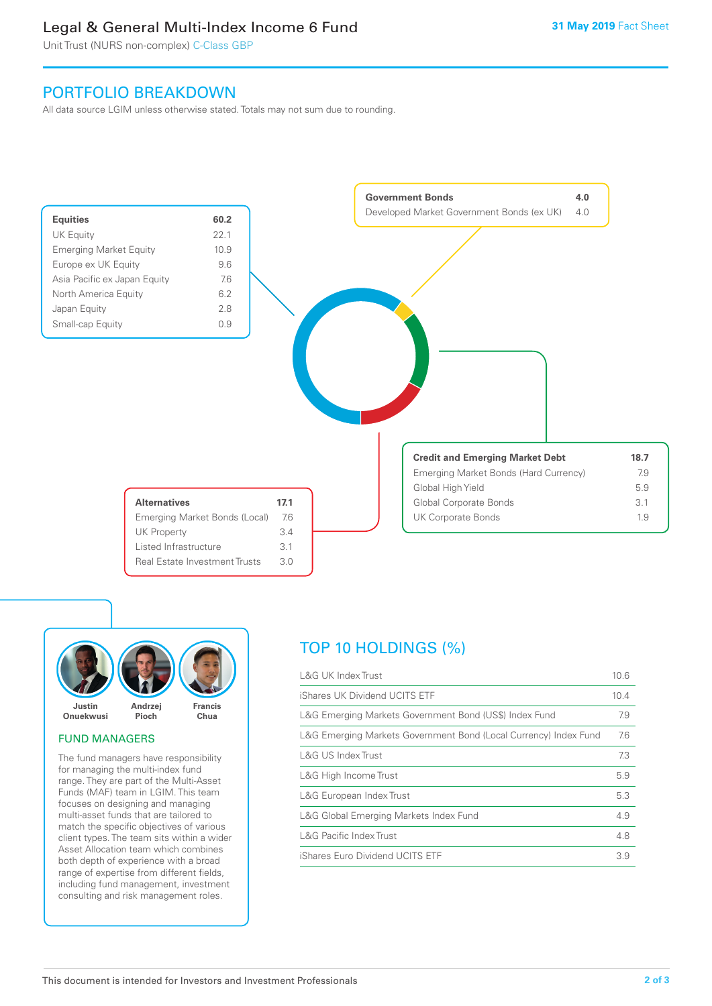### Legal & General Multi-Index Income 6 Fund

Unit Trust (NURS non-complex) C-Class GBP

### PORTFOLIO BREAKDOWN

All data source LGIM unless otherwise stated. Totals may not sum due to rounding.





### FUND MANAGERS

The fund managers have responsibility for managing the multi-index fund range. They are part of the Multi-Asset Funds (MAF) team in LGIM. This team focuses on designing and managing multi-asset funds that are tailored to match the specific objectives of various client types. The team sits within a wider Asset Allocation team which combines both depth of experience with a broad range of expertise from different fields, including fund management, investment consulting and risk management roles.

# TOP 10 HOLDINGS (%)

| <b>L&amp;G UK Index Trust</b>                                    | 10.6 |
|------------------------------------------------------------------|------|
| iShares UK Dividend UCITS ETF                                    | 10.4 |
| L&G Emerging Markets Government Bond (US\$) Index Fund           | 7.9  |
| L&G Emerging Markets Government Bond (Local Currency) Index Fund | 7.6  |
| <b>L&amp;G US Index Trust</b>                                    | 7.3  |
| L&G High Income Trust                                            | 5.9  |
| L&G European Index Trust                                         | 5.3  |
| L&G Global Emerging Markets Index Fund                           | 4.9  |
| <b>L&amp;G Pacific Index Trust</b>                               | 4.8  |
| iShares Euro Dividend UCITS ETF                                  | 3.9  |